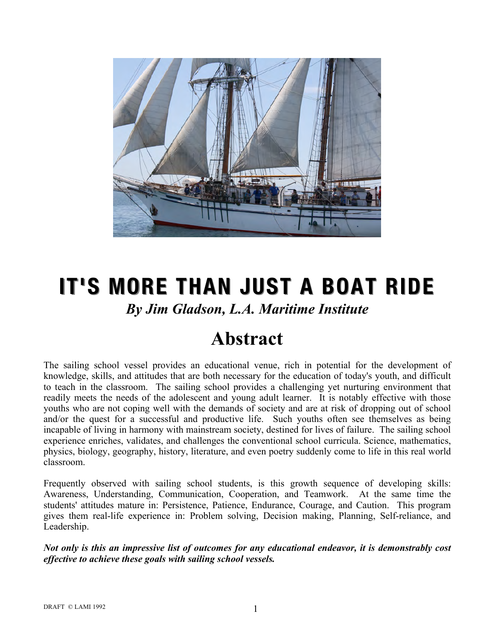

## **IT'S MORE THAN JUST A BOAT RIDE** *By Jim Gladson, L.A. Maritime Institute*

## **Abstract**

The sailing school vessel provides an educational venue, rich in potential for the development of knowledge, skills, and attitudes that are both necessary for the education of today's youth, and difficult to teach in the classroom. The sailing school provides a challenging yet nurturing environment that readily meets the needs of the adolescent and young adult learner. It is notably effective with those youths who are not coping well with the demands of society and are at risk of dropping out of school and/or the quest for a successful and productive life. Such youths often see themselves as being incapable of living in harmony with mainstream society, destined for lives of failure. The sailing school experience enriches, validates, and challenges the conventional school curricula. Science, mathematics, physics, biology, geography, history, literature, and even poetry suddenly come to life in this real world classroom.

Frequently observed with sailing school students, is this growth sequence of developing skills: Awareness, Understanding, Communication, Cooperation, and Teamwork. At the same time the students' attitudes mature in: Persistence, Patience, Endurance, Courage, and Caution. This program gives them real-life experience in: Problem solving, Decision making, Planning, Self-reliance, and Leadership.

*Not only is this an impressive list of outcomes for any educational endeavor, it is demonstrably cost effective to achieve these goals with sailing school vessels.*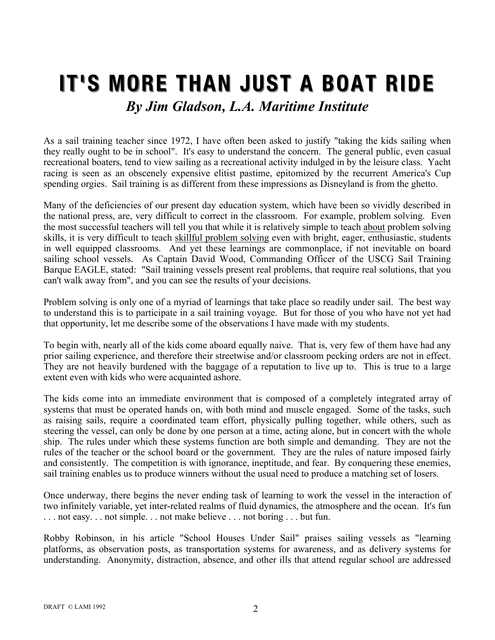## **IT'S MORE THAN JUST A BOAT RIDE** *By Jim Gladson, L.A. Maritime Institute*

As a sail training teacher since 1972, I have often been asked to justify "taking the kids sailing when they really ought to be in school". It's easy to understand the concern. The general public, even casual recreational boaters, tend to view sailing as a recreational activity indulged in by the leisure class. Yacht racing is seen as an obscenely expensive elitist pastime, epitomized by the recurrent America's Cup spending orgies. Sail training is as different from these impressions as Disneyland is from the ghetto.

Many of the deficiencies of our present day education system, which have been so vividly described in the national press, are, very difficult to correct in the classroom. For example, problem solving. Even the most successful teachers will tell you that while it is relatively simple to teach about problem solving skills, it is very difficult to teach skillful problem solving even with bright, eager, enthusiastic, students in well equipped classrooms. And yet these learnings are commonplace, if not inevitable on board sailing school vessels. As Captain David Wood, Commanding Officer of the USCG Sail Training Barque EAGLE, stated: "Sail training vessels present real problems, that require real solutions, that you can't walk away from", and you can see the results of your decisions.

Problem solving is only one of a myriad of learnings that take place so readily under sail. The best way to understand this is to participate in a sail training voyage. But for those of you who have not yet had that opportunity, let me describe some of the observations I have made with my students.

To begin with, nearly all of the kids come aboard equally naive. That is, very few of them have had any prior sailing experience, and therefore their streetwise and/or classroom pecking orders are not in effect. They are not heavily burdened with the baggage of a reputation to live up to. This is true to a large extent even with kids who were acquainted ashore.

The kids come into an immediate environment that is composed of a completely integrated array of systems that must be operated hands on, with both mind and muscle engaged. Some of the tasks, such as raising sails, require a coordinated team effort, physically pulling together, while others, such as steering the vessel, can only be done by one person at a time, acting alone, but in concert with the whole ship. The rules under which these systems function are both simple and demanding. They are not the rules of the teacher or the school board or the government. They are the rules of nature imposed fairly and consistently. The competition is with ignorance, ineptitude, and fear. By conquering these enemies, sail training enables us to produce winners without the usual need to produce a matching set of losers.

Once underway, there begins the never ending task of learning to work the vessel in the interaction of two infinitely variable, yet inter-related realms of fluid dynamics, the atmosphere and the ocean. It's fun . . . not easy. . . not simple. . . not make believe . . . not boring . . . but fun.

Robby Robinson, in his article "School Houses Under Sail" praises sailing vessels as "learning platforms, as observation posts, as transportation systems for awareness, and as delivery systems for understanding. Anonymity, distraction, absence, and other ills that attend regular school are addressed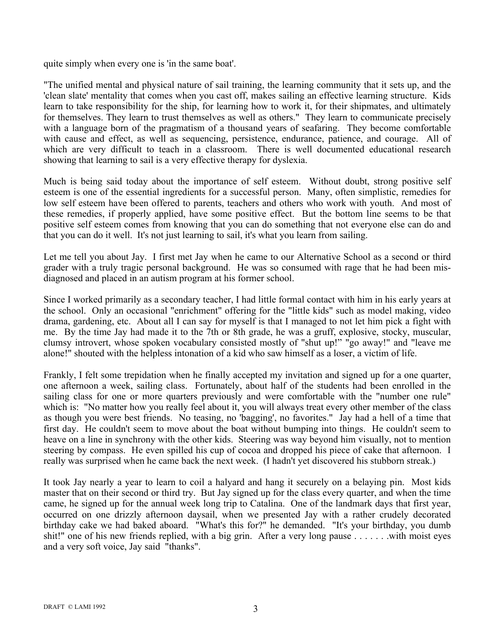quite simply when every one is 'in the same boat'.

"The unified mental and physical nature of sail training, the learning community that it sets up, and the 'clean slate' mentality that comes when you cast off, makes sailing an effective learning structure. Kids learn to take responsibility for the ship, for learning how to work it, for their shipmates, and ultimately for themselves. They learn to trust themselves as well as others." They learn to communicate precisely with a language born of the pragmatism of a thousand years of seafaring. They become comfortable with cause and effect, as well as sequencing, persistence, endurance, patience, and courage. All of which are very difficult to teach in a classroom. There is well documented educational research showing that learning to sail is a very effective therapy for dyslexia.

Much is being said today about the importance of self esteem. Without doubt, strong positive self esteem is one of the essential ingredients for a successful person. Many, often simplistic, remedies for low self esteem have been offered to parents, teachers and others who work with youth. And most of these remedies, if properly applied, have some positive effect. But the bottom line seems to be that positive self esteem comes from knowing that you can do something that not everyone else can do and that you can do it well. It's not just learning to sail, it's what you learn from sailing.

Let me tell you about Jay. I first met Jay when he came to our Alternative School as a second or third grader with a truly tragic personal background. He was so consumed with rage that he had been misdiagnosed and placed in an autism program at his former school.

Since I worked primarily as a secondary teacher, I had little formal contact with him in his early years at the school. Only an occasional "enrichment" offering for the "little kids" such as model making, video drama, gardening, etc. About all I can say for myself is that I managed to not let him pick a fight with me. By the time Jay had made it to the 7th or 8th grade, he was a gruff, explosive, stocky, muscular, clumsy introvert, whose spoken vocabulary consisted mostly of "shut up!" "go away!" and "leave me alone!" shouted with the helpless intonation of a kid who saw himself as a loser, a victim of life.

Frankly, I felt some trepidation when he finally accepted my invitation and signed up for a one quarter, one afternoon a week, sailing class. Fortunately, about half of the students had been enrolled in the sailing class for one or more quarters previously and were comfortable with the "number one rule" which is: "No matter how you really feel about it, you will always treat every other member of the class as though you were best friends. No teasing, no 'bagging', no favorites." Jay had a hell of a time that first day. He couldn't seem to move about the boat without bumping into things. He couldn't seem to heave on a line in synchrony with the other kids. Steering was way beyond him visually, not to mention steering by compass. He even spilled his cup of cocoa and dropped his piece of cake that afternoon. I really was surprised when he came back the next week. (I hadn't yet discovered his stubborn streak.)

It took Jay nearly a year to learn to coil a halyard and hang it securely on a belaying pin. Most kids master that on their second or third try. But Jay signed up for the class every quarter, and when the time came, he signed up for the annual week long trip to Catalina. One of the landmark days that first year, occurred on one drizzly afternoon daysail, when we presented Jay with a rather crudely decorated birthday cake we had baked aboard. "What's this for?" he demanded. "It's your birthday, you dumb shit!" one of his new friends replied, with a big grin. After a very long pause . . . . . . . with moist eyes and a very soft voice, Jay said "thanks".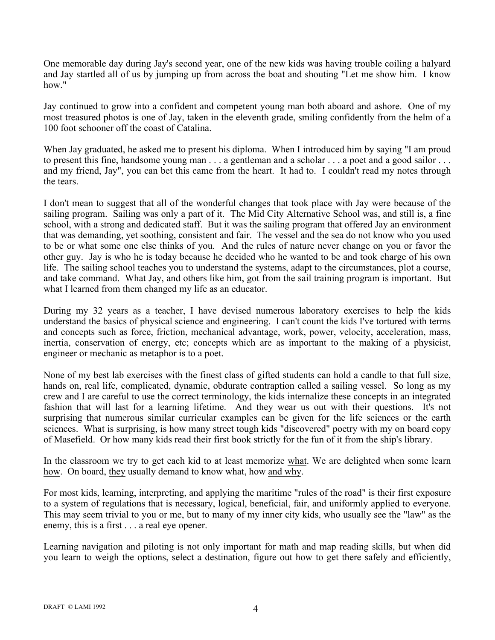One memorable day during Jay's second year, one of the new kids was having trouble coiling a halyard and Jay startled all of us by jumping up from across the boat and shouting "Let me show him. I know how."

Jay continued to grow into a confident and competent young man both aboard and ashore. One of my most treasured photos is one of Jay, taken in the eleventh grade, smiling confidently from the helm of a 100 foot schooner off the coast of Catalina.

When Jay graduated, he asked me to present his diploma. When I introduced him by saying "I am proud to present this fine, handsome young man . . . a gentleman and a scholar . . . a poet and a good sailor . . . and my friend, Jay", you can bet this came from the heart. It had to. I couldn't read my notes through the tears.

I don't mean to suggest that all of the wonderful changes that took place with Jay were because of the sailing program. Sailing was only a part of it. The Mid City Alternative School was, and still is, a fine school, with a strong and dedicated staff. But it was the sailing program that offered Jay an environment that was demanding, yet soothing, consistent and fair. The vessel and the sea do not know who you used to be or what some one else thinks of you. And the rules of nature never change on you or favor the other guy. Jay is who he is today because he decided who he wanted to be and took charge of his own life. The sailing school teaches you to understand the systems, adapt to the circumstances, plot a course, and take command. What Jay, and others like him, got from the sail training program is important. But what I learned from them changed my life as an educator.

During my 32 years as a teacher, I have devised numerous laboratory exercises to help the kids understand the basics of physical science and engineering. I can't count the kids I've tortured with terms and concepts such as force, friction, mechanical advantage, work, power, velocity, acceleration, mass, inertia, conservation of energy, etc; concepts which are as important to the making of a physicist, engineer or mechanic as metaphor is to a poet.

None of my best lab exercises with the finest class of gifted students can hold a candle to that full size, hands on, real life, complicated, dynamic, obdurate contraption called a sailing vessel. So long as my crew and I are careful to use the correct terminology, the kids internalize these concepts in an integrated fashion that will last for a learning lifetime. And they wear us out with their questions. It's not surprising that numerous similar curricular examples can be given for the life sciences or the earth sciences. What is surprising, is how many street tough kids "discovered" poetry with my on board copy of Masefield. Or how many kids read their first book strictly for the fun of it from the ship's library.

In the classroom we try to get each kid to at least memorize what. We are delighted when some learn how. On board, they usually demand to know what, how and why.

For most kids, learning, interpreting, and applying the maritime "rules of the road" is their first exposure to a system of regulations that is necessary, logical, beneficial, fair, and uniformly applied to everyone. This may seem trivial to you or me, but to many of my inner city kids, who usually see the "law" as the enemy, this is a first . . . a real eye opener.

Learning navigation and piloting is not only important for math and map reading skills, but when did you learn to weigh the options, select a destination, figure out how to get there safely and efficiently,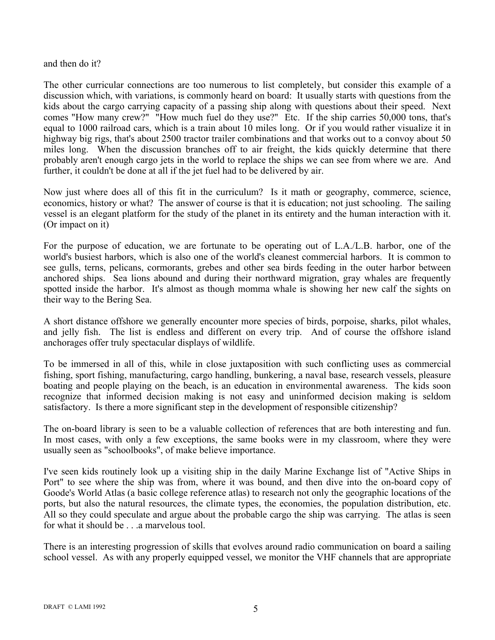## and then do it?

The other curricular connections are too numerous to list completely, but consider this example of a discussion which, with variations, is commonly heard on board: It usually starts with questions from the kids about the cargo carrying capacity of a passing ship along with questions about their speed. Next comes "How many crew?" "How much fuel do they use?" Etc. If the ship carries 50,000 tons, that's equal to 1000 railroad cars, which is a train about 10 miles long. Or if you would rather visualize it in highway big rigs, that's about 2500 tractor trailer combinations and that works out to a convoy about 50 miles long. When the discussion branches off to air freight, the kids quickly determine that there probably aren't enough cargo jets in the world to replace the ships we can see from where we are. And further, it couldn't be done at all if the jet fuel had to be delivered by air.

Now just where does all of this fit in the curriculum? Is it math or geography, commerce, science, economics, history or what? The answer of course is that it is education; not just schooling. The sailing vessel is an elegant platform for the study of the planet in its entirety and the human interaction with it. (Or impact on it)

For the purpose of education, we are fortunate to be operating out of L.A./L.B. harbor, one of the world's busiest harbors, which is also one of the world's cleanest commercial harbors. It is common to see gulls, terns, pelicans, cormorants, grebes and other sea birds feeding in the outer harbor between anchored ships. Sea lions abound and during their northward migration, gray whales are frequently spotted inside the harbor. It's almost as though momma whale is showing her new calf the sights on their way to the Bering Sea.

A short distance offshore we generally encounter more species of birds, porpoise, sharks, pilot whales, and jelly fish. The list is endless and different on every trip. And of course the offshore island anchorages offer truly spectacular displays of wildlife.

To be immersed in all of this, while in close juxtaposition with such conflicting uses as commercial fishing, sport fishing, manufacturing, cargo handling, bunkering, a naval base, research vessels, pleasure boating and people playing on the beach, is an education in environmental awareness. The kids soon recognize that informed decision making is not easy and uninformed decision making is seldom satisfactory. Is there a more significant step in the development of responsible citizenship?

The on-board library is seen to be a valuable collection of references that are both interesting and fun. In most cases, with only a few exceptions, the same books were in my classroom, where they were usually seen as "schoolbooks", of make believe importance.

I've seen kids routinely look up a visiting ship in the daily Marine Exchange list of "Active Ships in Port" to see where the ship was from, where it was bound, and then dive into the on-board copy of Goode's World Atlas (a basic college reference atlas) to research not only the geographic locations of the ports, but also the natural resources, the climate types, the economies, the population distribution, etc. All so they could speculate and argue about the probable cargo the ship was carrying. The atlas is seen for what it should be . . .a marvelous tool.

There is an interesting progression of skills that evolves around radio communication on board a sailing school vessel. As with any properly equipped vessel, we monitor the VHF channels that are appropriate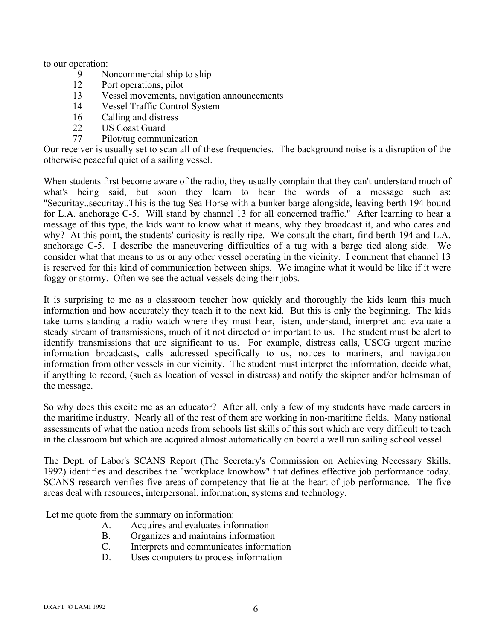to our operation:

- 9 Noncommercial ship to ship
- 12 Port operations, pilot
- 13 Vessel movements, navigation announcements
- 14 Vessel Traffic Control System
- 16 Calling and distress
- 22 US Coast Guard
- 77 Pilot/tug communication

Our receiver is usually set to scan all of these frequencies. The background noise is a disruption of the otherwise peaceful quiet of a sailing vessel.

When students first become aware of the radio, they usually complain that they can't understand much of what's being said, but soon they learn to hear the words of a message such as: "Securitay..securitay..This is the tug Sea Horse with a bunker barge alongside, leaving berth 194 bound for L.A. anchorage C-5. Will stand by channel 13 for all concerned traffic." After learning to hear a message of this type, the kids want to know what it means, why they broadcast it, and who cares and why? At this point, the students' curiosity is really ripe. We consult the chart, find berth 194 and L.A. anchorage C-5. I describe the maneuvering difficulties of a tug with a barge tied along side. We consider what that means to us or any other vessel operating in the vicinity. I comment that channel 13 is reserved for this kind of communication between ships. We imagine what it would be like if it were foggy or stormy. Often we see the actual vessels doing their jobs.

It is surprising to me as a classroom teacher how quickly and thoroughly the kids learn this much information and how accurately they teach it to the next kid. But this is only the beginning. The kids take turns standing a radio watch where they must hear, listen, understand, interpret and evaluate a steady stream of transmissions, much of it not directed or important to us. The student must be alert to identify transmissions that are significant to us. For example, distress calls, USCG urgent marine information broadcasts, calls addressed specifically to us, notices to mariners, and navigation information from other vessels in our vicinity. The student must interpret the information, decide what, if anything to record, (such as location of vessel in distress) and notify the skipper and/or helmsman of the message.

So why does this excite me as an educator? After all, only a few of my students have made careers in the maritime industry. Nearly all of the rest of them are working in non-maritime fields. Many national assessments of what the nation needs from schools list skills of this sort which are very difficult to teach in the classroom but which are acquired almost automatically on board a well run sailing school vessel.

The Dept. of Labor's SCANS Report (The Secretary's Commission on Achieving Necessary Skills, 1992) identifies and describes the "workplace knowhow" that defines effective job performance today. SCANS research verifies five areas of competency that lie at the heart of job performance. The five areas deal with resources, interpersonal, information, systems and technology.

Let me quote from the summary on information:

- A. Acquires and evaluates information
- B. Organizes and maintains information
- C. Interprets and communicates information
- D. Uses computers to process information